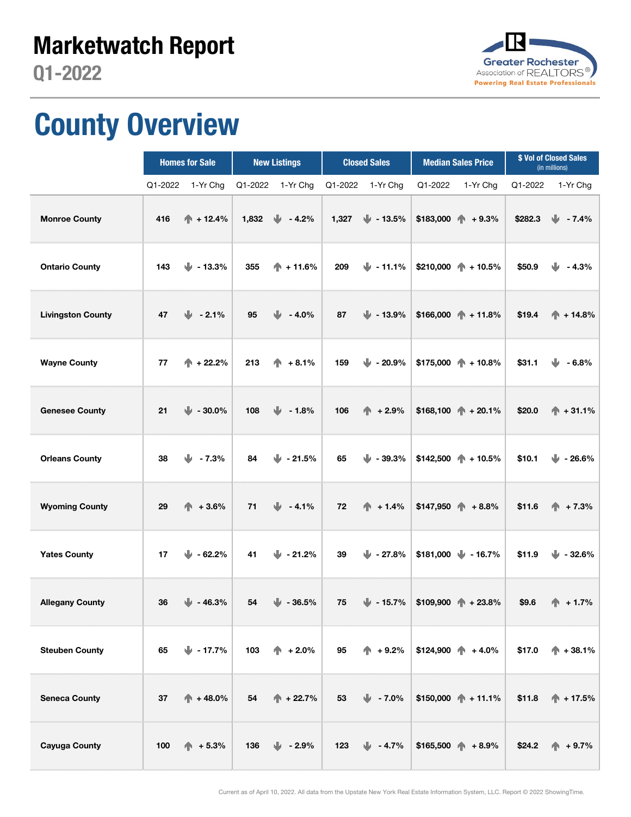

## County Overview

|                          | <b>Homes for Sale</b>        | <b>New Listings</b>         | <b>Closed Sales</b>            | <b>Median Sales Price</b>                     | \$ Vol of Closed Sales<br>(in millions) |  |
|--------------------------|------------------------------|-----------------------------|--------------------------------|-----------------------------------------------|-----------------------------------------|--|
|                          | Q1-2022<br>1-Yr Chg          | 1-Yr Chg<br>Q1-2022         | Q1-2022<br>1-Yr Chg            | 1-Yr Chg<br>Q1-2022                           | Q1-2022<br>1-Yr Chg                     |  |
| <b>Monroe County</b>     | $\spadesuit$ + 12.4%<br>416  | ⋓<br>1,832<br>$-4.2%$       | $\frac{1}{2}$ - 13.5%<br>1,327 | $$183,000$ + $+9.3\%$                         | \$282.3<br>⋓<br>$-7.4%$                 |  |
| <b>Ontario County</b>    | JJ.<br>$-13.3%$<br>143       | 355<br>$\spadesuit$ + 11.6% | $\mathbf{L}$ - 11.1%<br>209    | $$210,000$ + 10.5%                            | \$50.9<br>$-4.3%$                       |  |
| <b>Livingston County</b> | $-2.1%$<br>47<br>⋓           | 95<br>JJ.<br>$-4.0%$        | 87<br>$\frac{1}{2}$ - 13.9%    | $$166,000$ + 11.8%                            | \$19.4<br>$\spadesuit$ + 14.8%          |  |
| <b>Wayne County</b>      | $\spadesuit$ + 22.2%<br>77   | 213<br>$+8.1%$              | 159<br>$\mathbf{L}$ - 20.9%    | $$175,000$ + 10.8%                            | \$31.1<br>$-6.8%$                       |  |
| <b>Genesee County</b>    | 21<br>$\frac{1}{2}$ - 30.0%  | 108<br>$\frac{1}{2}$ - 1.8% | 106<br>个<br>$+2.9%$            | $$168,100 \quad \Uparrow + 20.1\%$            | \$20.0<br>$\spadesuit$ + 31.1%          |  |
| <b>Orleans County</b>    | w<br>$-7.3%$<br>38           | 84<br>$\frac{1}{2}$ - 21.5% | 65<br>$\mathbf{u}$ - 39.3%     | $$142,500$ + 10.5%                            | \$10.1<br>$\frac{1}{2}$ - 26.6%         |  |
| <b>Wyoming County</b>    | $+3.6%$<br>29<br>Æ.          | 71<br>$4.1\%$               | 72<br>$\spadesuit$ + 1.4%      | $$147,950$ + 8.8%                             | \$11.6<br>$+7.3%$                       |  |
| <b>Yates County</b>      | 17<br>$\frac{1}{2}$ - 62.2%  | 41<br>$\mathbf{L}$ - 21.2%  | 39<br>$\mathbf{L}$ - 27.8%     | $$181,000$ $\downarrow$ - 16.7%               | \$11.9<br>$\frac{1}{2}$ - 32.6%         |  |
| <b>Allegany County</b>   | 36<br>$\blacksquare$ - 46.3% | 54<br>⋓<br>$-36.5%$         | 75<br>$\frac{1}{2}$ - 15.7%    | $$109,900$ + 23.8%                            | \$9.6<br>$+1.7%$                        |  |
| <b>Steuben County</b>    | 65<br>$\blacksquare$ - 17.7% | 103<br>$+2.0%$              | 95<br>$\spadesuit$ + 9.2%      | $$124,900 \quad \Leftrightarrow \quad +4.0\%$ | \$17.0<br>$\spadesuit$ + 38.1%          |  |
| <b>Seneca County</b>     | 37<br>$+48.0%$               | 54<br>$\spadesuit$ + 22.7%  | 53<br>$-7.0\%$                 | $$150,000$ + 11.1%                            | \$11.8<br>$\uparrow$ + 17.5%            |  |
| <b>Cayuga County</b>     | 100<br>$\spadesuit$ + 5.3%   | $\frac{1}{2}$ - 2.9%<br>136 | 123<br>$\frac{1}{2}$ - 4.7%    | $$165,500$ + 8.9%                             | \$24.2<br>$\spadesuit$ + 9.7%           |  |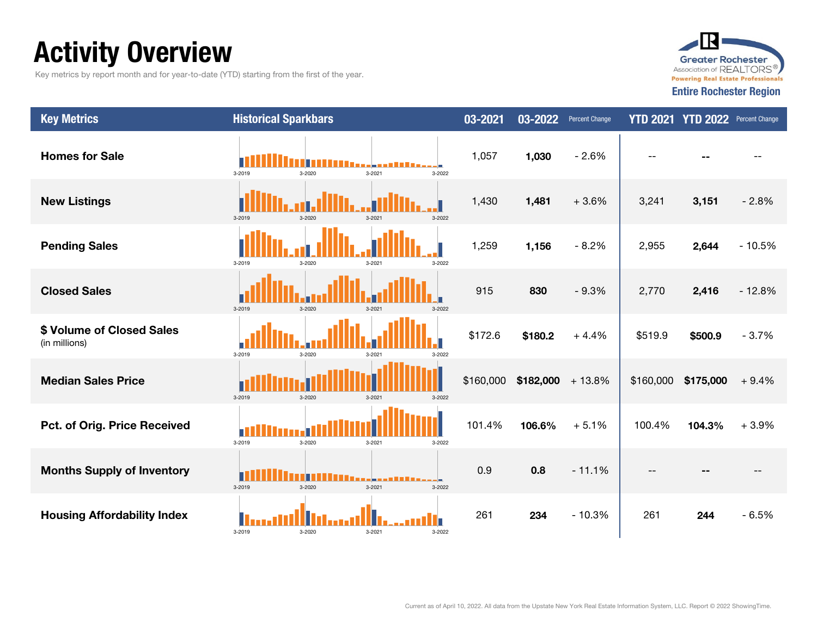## Activity Overview

Key metrics by report month and for year-to-date (YTD) starting from the first of the year.



| <b>Key Metrics</b>                         | <b>Historical Sparkbars</b>          | $03 - 2021$ | 03-2022<br>Percent Change | <b>YTD 2021</b> | YTD 2022 Percent Change |          |
|--------------------------------------------|--------------------------------------|-------------|---------------------------|-----------------|-------------------------|----------|
| <b>Homes for Sale</b>                      | 3-2022<br>3-2019<br>3-2021<br>3-2020 | 1,057       | 1,030<br>$-2.6%$          |                 |                         |          |
| <b>New Listings</b>                        | 3-2019<br>3-2022<br>$3 - 2020$       | 1,430       | 1,481<br>$+3.6%$          | 3,241           | 3,151                   | $-2.8%$  |
| <b>Pending Sales</b>                       | 3-2019<br>3-2020<br>3-2022<br>3-2021 | 1,259       | 1,156<br>$-8.2%$          | 2,955           | 2,644                   | $-10.5%$ |
| <b>Closed Sales</b>                        | 3-2019<br>3-2020<br>3-2022<br>3-2021 | 915         | 830<br>$-9.3%$            | 2,770           | 2,416                   | $-12.8%$ |
| \$ Volume of Closed Sales<br>(in millions) | 3-2019<br>3-2020<br>3-2021<br>3-2022 | \$172.6     | \$180.2<br>$+4.4%$        | \$519.9         | \$500.9                 | $-3.7%$  |
| <b>Median Sales Price</b>                  | 3-2019<br>3-2020<br>3-2021<br>3-2022 | \$160,000   | \$182,000<br>$+13.8%$     | \$160,000       | \$175,000               | $+9.4%$  |
| Pct. of Orig. Price Received               | 3-2019<br>3-2020<br>3-2021<br>3-2022 | 101.4%      | 106.6%<br>$+5.1%$         | 100.4%          | 104.3%                  | $+3.9%$  |
| <b>Months Supply of Inventory</b>          | 3-2019<br>3-2020<br>3-2021<br>3-2022 | 0.9         | 0.8<br>$-11.1%$           |                 |                         |          |
| <b>Housing Affordability Index</b>         | 3-2019<br>3-2020<br>3-2021<br>3-2022 | 261         | 234<br>$-10.3%$           | 261             | 244                     | $-6.5%$  |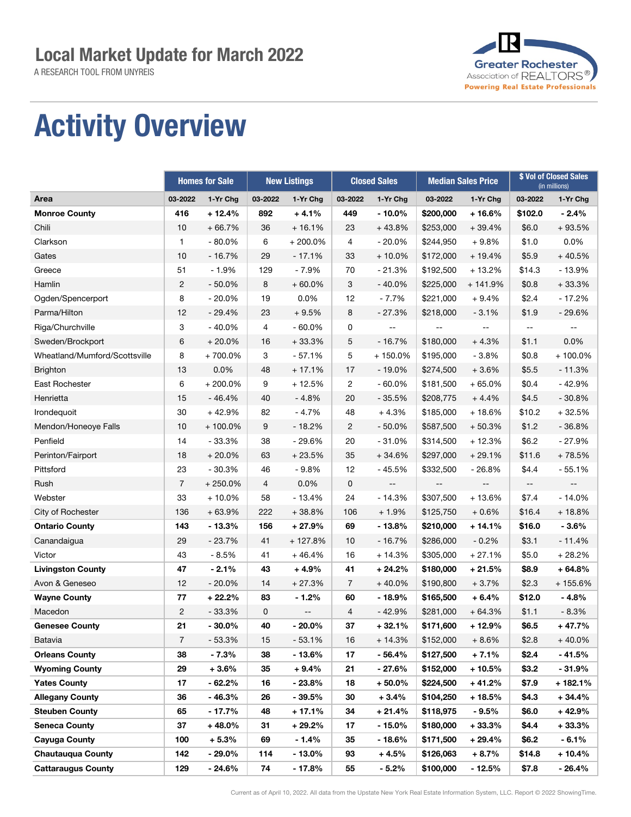A RESEARCH TOOL FROM UNYREIS



## Activity Overview

|                               |                | <b>Homes for Sale</b> |                | <b>New Listings</b> | <b>Closed Sales</b> |                          | <b>Median Sales Price</b> |           | \$ Vol of Closed Sales<br>(in millions) |                          |
|-------------------------------|----------------|-----------------------|----------------|---------------------|---------------------|--------------------------|---------------------------|-----------|-----------------------------------------|--------------------------|
| Area                          | 03-2022        | 1-Yr Chg              | 03-2022        | 1-Yr Chg            | 03-2022             | 1-Yr Chg                 | 03-2022                   | 1-Yr Chg  | 03-2022                                 | 1-Yr Chg                 |
| <b>Monroe County</b>          | 416            | $+12.4%$              | 892            | $+4.1%$             | 449                 | $-10.0\%$                | \$200,000                 | $+16.6%$  | \$102.0                                 | $-2.4%$                  |
| Chili                         | 10             | $+66.7%$              | 36             | $+16.1%$            | 23                  | $+43.8%$                 | \$253,000                 | $+39.4%$  | \$6.0                                   | $+93.5%$                 |
| Clarkson                      | 1              | $-80.0%$              | 6              | $+200.0%$           | 4                   | $-20.0%$                 | \$244,950                 | $+9.8%$   | \$1.0                                   | 0.0%                     |
| Gates                         | 10             | $-16.7%$              | 29             | $-17.1%$            | 33                  | $+10.0%$                 | \$172,000                 | $+19.4%$  | \$5.9                                   | $+40.5%$                 |
| Greece                        | 51             | $-1.9%$               | 129            | $-7.9%$             | 70                  | $-21.3%$                 | \$192,500                 | $+13.2%$  | \$14.3                                  | $-13.9%$                 |
| Hamlin                        | 2              | $-50.0%$              | 8              | $+60.0%$            | 3                   | $-40.0%$                 | \$225,000                 | $+141.9%$ | \$0.8                                   | $+33.3%$                 |
| Ogden/Spencerport             | 8              | $-20.0%$              | 19             | 0.0%                | 12                  | $-7.7%$                  | \$221,000                 | $+9.4%$   | \$2.4                                   | $-17.2%$                 |
| Parma/Hilton                  | 12             | $-29.4%$              | 23             | $+9.5%$             | 8                   | $-27.3%$                 | \$218,000                 | $-3.1%$   | \$1.9                                   | $-29.6%$                 |
| Riga/Churchville              | 3              | $-40.0%$              | $\overline{4}$ | $-60.0%$            | 0                   |                          |                           |           |                                         |                          |
| Sweden/Brockport              | 6              | $+20.0%$              | 16             | $+33.3%$            | 5                   | $-16.7%$                 | \$180,000                 | $+4.3%$   | \$1.1                                   | 0.0%                     |
| Wheatland/Mumford/Scottsville | 8              | +700.0%               | 3              | $-57.1%$            | 5                   | + 150.0%                 | \$195,000                 | $-3.8%$   | \$0.8                                   | $+100.0\%$               |
| <b>Brighton</b>               | 13             | 0.0%                  | 48             | $+17.1%$            | 17                  | $-19.0%$                 | \$274,500                 | $+3.6%$   | \$5.5                                   | $-11.3%$                 |
| East Rochester                | 6              | $+200.0\%$            | 9              | $+12.5%$            | $\overline{c}$      | $-60.0%$                 | \$181,500                 | $+65.0%$  | \$0.4                                   | $-42.9%$                 |
| Henrietta                     | 15             | $-46.4%$              | 40             | $-4.8%$             | 20                  | $-35.5%$                 | \$208,775                 | $+4.4%$   | \$4.5                                   | $-30.8%$                 |
| Irondequoit                   | 30             | $+42.9%$              | 82             | $-4.7%$             | 48                  | $+4.3%$                  | \$185,000                 | $+18.6%$  | \$10.2                                  | $+32.5%$                 |
| Mendon/Honeoye Falls          | 10             | $+100.0\%$            | 9              | $-18.2%$            | $\overline{2}$      | $-50.0%$                 | \$587,500                 | $+50.3%$  | \$1.2                                   | $-36.8%$                 |
| Penfield                      | 14             | $-33.3%$              | 38             | $-29.6%$            | 20                  | $-31.0%$                 | \$314,500                 | $+12.3%$  | \$6.2                                   | $-27.9%$                 |
| Perinton/Fairport             | 18             | $+20.0%$              | 63             | $+23.5%$            | 35                  | $+34.6%$                 | \$297,000                 | $+29.1%$  | \$11.6                                  | $+78.5%$                 |
| Pittsford                     | 23             | $-30.3%$              | 46             | $-9.8%$             | 12                  | $-45.5%$                 | \$332,500                 | $-26.8%$  | \$4.4                                   | $-55.1%$                 |
| Rush                          | $\overline{7}$ | $+250.0%$             | $\overline{4}$ | 0.0%                | 0                   | $\overline{\phantom{a}}$ | $-\, -$                   | $-$       | $\overline{\phantom{a}}$                | $\overline{\phantom{a}}$ |
| Webster                       | 33             | $+10.0\%$             | 58             | $-13.4%$            | 24                  | $-14.3%$                 | \$307,500                 | $+13.6%$  | \$7.4                                   | $-14.0%$                 |
| City of Rochester             | 136            | $+63.9%$              | 222            | $+38.8%$            | 106                 | $+1.9%$                  | \$125,750                 | $+0.6%$   | \$16.4                                  | $+18.8%$                 |
| <b>Ontario County</b>         | 143            | $-13.3%$              | 156            | $+27.9%$            | 69                  | $-13.8%$                 | \$210,000                 | $+14.1%$  | \$16.0                                  | $-3.6%$                  |
| Canandaigua                   | 29             | $-23.7%$              | 41             | $+127.8%$           | 10                  | $-16.7%$                 | \$286,000                 | $-0.2%$   | \$3.1                                   | $-11.4%$                 |
| Victor                        | 43             | $-8.5%$               | 41             | $+46.4%$            | 16                  | $+14.3%$                 | \$305,000                 | $+27.1%$  | \$5.0                                   | $+28.2%$                 |
| <b>Livingston County</b>      | 47             | $-2.1%$               | 43             | $+4.9%$             | 41                  | $+24.2%$                 | \$180,000                 | $+21.5%$  | \$8.9                                   | $+64.8%$                 |
| Avon & Geneseo                | 12             | $-20.0%$              | 14             | $+27.3%$            | $\overline{7}$      | $+40.0%$                 | \$190,800                 | $+3.7%$   | \$2.3                                   | $+155.6%$                |
| <b>Wayne County</b>           | 77             | $+22.2%$              | 83             | $-1.2%$             | 60                  | $-18.9%$                 | \$165,500                 | $+6.4%$   | \$12.0                                  | $-4.8%$                  |
| Macedon                       | 2              | $-33.3%$              | 0              | --                  | 4                   | $-42.9%$                 | \$281,000                 | $+64.3%$  | \$1.1                                   | $-8.3%$                  |
| <b>Genesee County</b>         | 21             | $-30.0%$              | 40             | $-20.0%$            | 37                  | $+32.1%$                 | \$171,600                 | $+12.9%$  | \$6.5                                   | $+47.7%$                 |
| Batavia                       | $\overline{7}$ | $-53.3%$              | 15             | $-53.1%$            | 16                  | $+14.3%$                 | \$152,000                 | $+8.6%$   | \$2.8                                   | $+40.0%$                 |
| <b>Orleans County</b>         | 38             | $-7.3%$               | 38             | $-13.6%$            | 17                  | $-56.4%$                 | \$127,500                 | + 7.1%    | \$2.4                                   | $-41.5%$                 |
| <b>Wyoming County</b>         | 29             | $+3.6%$               | 35             | $+9.4\%$            | 21                  | $-27.6%$                 | \$152,000                 | + 10.5%   | \$3.2                                   | $-31.9%$                 |
| <b>Yates County</b>           | 17             | $-62.2\%$             | 16             | - 23.8%             | 18                  | $+50.0\%$                | \$224,500                 | $+41.2%$  | \$7.9                                   | + 182.1%                 |
| <b>Allegany County</b>        | 36             | - 46.3%               | 26             | - 39.5%             | 30                  | $+3.4%$                  | \$104,250                 | $+18.5%$  | \$4.3                                   | $+34.4%$                 |
| Steuben County                | 65             | $-17.7\%$             | 48             | + 17.1%             | 34                  | $+21.4%$                 | \$118,975                 | $-9.5%$   | \$6.0                                   | + 42.9%                  |
| <b>Seneca County</b>          | 37             | $+48.0%$              | 31             | $+29.2%$            | 17                  | $-15.0\%$                | \$180,000                 | $+33.3%$  | \$4.4                                   | $+33.3%$                 |
| Cayuga County                 | 100            | $+5.3%$               | 69             | $-1.4%$             | 35                  | $-18.6%$                 | \$171,500                 | $+29.4%$  | \$6.2                                   | $-6.1%$                  |
| <b>Chautauqua County</b>      | 142            | $-29.0\%$             | 114            | $-13.0\%$           | 93                  | $+4.5%$                  | \$126,063                 | + 8.7%    | \$14.8                                  | + 10.4%                  |
| <b>Cattaraugus County</b>     | 129            | - 24.6%               | 74             | - 17.8%             | 55                  | $-5.2%$                  | \$100,000                 | - 12.5%   | \$7.8                                   | $-26.4%$                 |